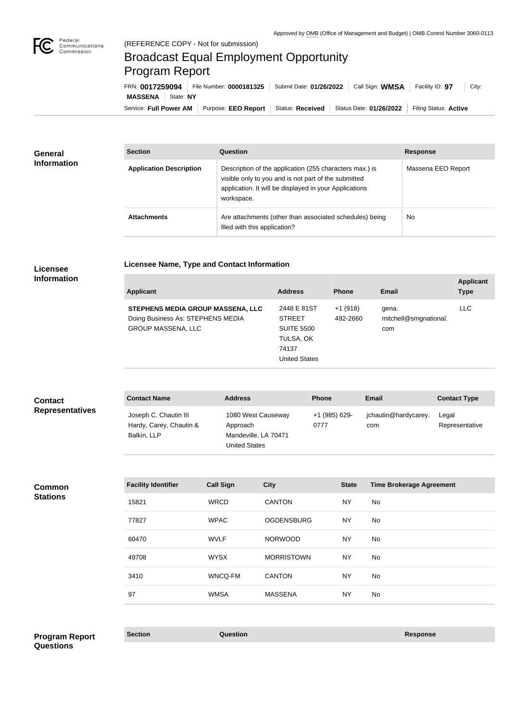

## Broadcast Equal Employment Opportunity Program Report

**Licensee Name, Type and Contact Information**

Service: Full Power AM | Purpose: EEO Report | Status: Received | Status Date: 01/26/2022 | Filing Status: Active **MASSENA** State: **NY** FRN: **0017259094** File Number: **0000181325** Submit Date: **01/26/2022** Call Sign: **WMSA** Facility ID: **97** City:

| General<br><b>Information</b> | <b>Section</b>                 | <b>Question</b>                                                                                                                                                                         | <b>Response</b>    |
|-------------------------------|--------------------------------|-----------------------------------------------------------------------------------------------------------------------------------------------------------------------------------------|--------------------|
|                               | <b>Application Description</b> | Description of the application (255 characters max.) is<br>visible only to you and is not part of the submitted<br>application. It will be displayed in your Applications<br>workspace. | Massena EEO Report |
|                               | <b>Attachments</b>             | Are attachments (other than associated schedules) being<br>filed with this application?                                                                                                 | No                 |

## **Licensee Information**

| <b>Applicant</b>                                                                                    | <b>Address</b>                                                                                  | <b>Phone</b>          | Email                                 | <b>Applicant</b><br><b>Type</b> |
|-----------------------------------------------------------------------------------------------------|-------------------------------------------------------------------------------------------------|-----------------------|---------------------------------------|---------------------------------|
| STEPHENS MEDIA GROUP MASSENA, LLC<br>Doing Business As: STEPHENS MEDIA<br><b>GROUP MASSENA, LLC</b> | 2448 E 81ST<br><b>STREET</b><br><b>SUITE 5500</b><br>TULSA, OK<br>74137<br><b>United States</b> | $+1(918)$<br>492-2660 | gena.<br>mitchell@smgnational.<br>com | <b>LLC</b>                      |

| <b>Contact</b><br><b>Representatives</b> | <b>Contact Name</b>                                             | <b>Address</b>                                                                 | <b>Phone</b>          | Email                       | <b>Contact Type</b>     |
|------------------------------------------|-----------------------------------------------------------------|--------------------------------------------------------------------------------|-----------------------|-----------------------------|-------------------------|
|                                          | Joseph C. Chautin III<br>Hardy, Carey, Chautin &<br>Balkin, LLP | 1080 West Causeway<br>Approach<br>Mandeville, LA 70471<br><b>United States</b> | +1 (985) 629-<br>0777 | jchautin@hardycarey.<br>com | Legal<br>Representative |

**Common Stations**

| <b>Facility Identifier</b> | <b>Call Sign</b> | <b>City</b>       | <b>State</b> | <b>Time Brokerage Agreement</b> |
|----------------------------|------------------|-------------------|--------------|---------------------------------|
| 15821                      | <b>WRCD</b>      | <b>CANTON</b>     | <b>NY</b>    | <b>No</b>                       |
| 77827                      | <b>WPAC</b>      | <b>OGDENSBURG</b> | <b>NY</b>    | No.                             |
| 60470                      | <b>WVLF</b>      | <b>NORWOOD</b>    | <b>NY</b>    | No.                             |
| 49708                      | <b>WYSX</b>      | <b>MORRISTOWN</b> | <b>NY</b>    | No.                             |
| 3410                       | WNCQ-FM          | <b>CANTON</b>     | <b>NY</b>    | No.                             |
| 97                         | <b>WMSA</b>      | <b>MASSENA</b>    | <b>NY</b>    | No                              |

**Section Question Response Program Report Questions**